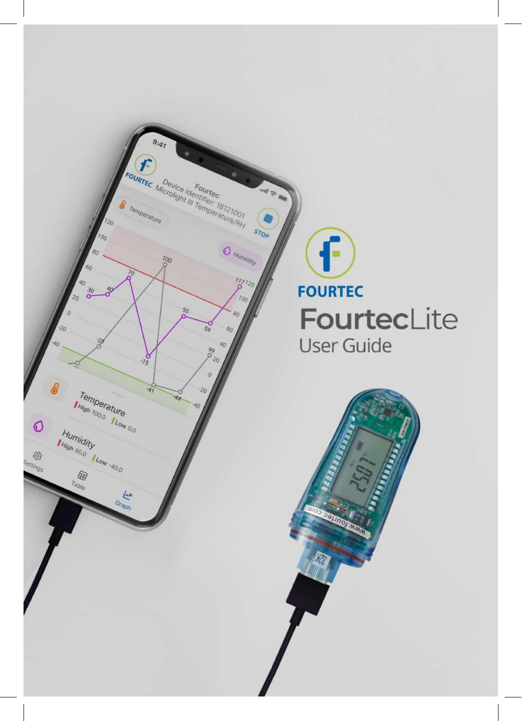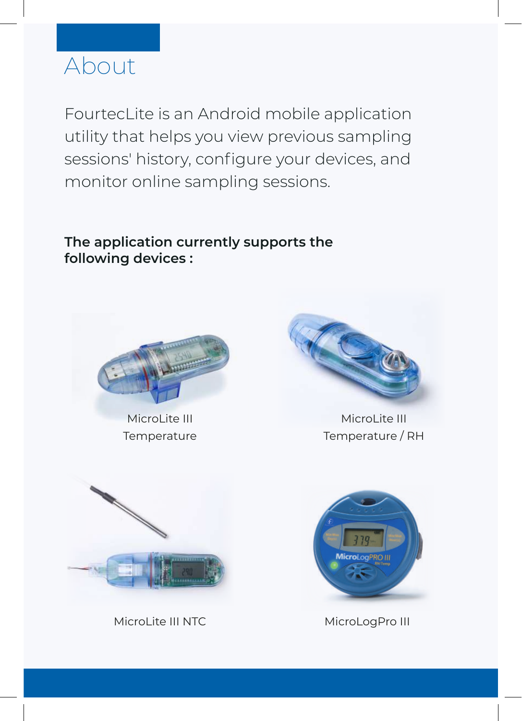# About

FourtecLite is an Android mobile application utility that helps you view previous sampling sessions' history, configure your devices, and monitor online sampling sessions.

**The application currently supports the following devices :**



MicroLite III Temperature



MicroLite III Temperature / RH



MicroLite III NTC



MicroLogPro III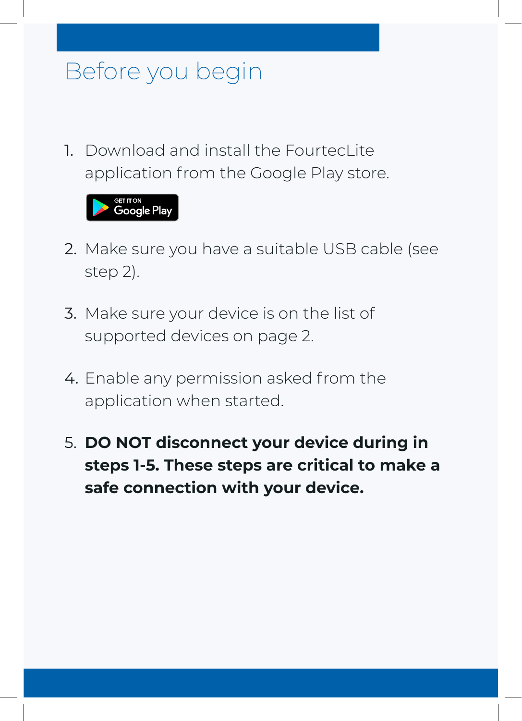# Before you begin

1. Download and install the Fourtecl ite application from the Google Play store.



- 2. Make sure you have a suitable USB cable (see step 2).
- 3. Make sure your device is on the list of supported devices on page 2.
- 4. Enable any permission asked from the application when started.
- 5. **DO NOT disconnect your device during in steps 1-5. These steps are critical to make a safe connection with your device.**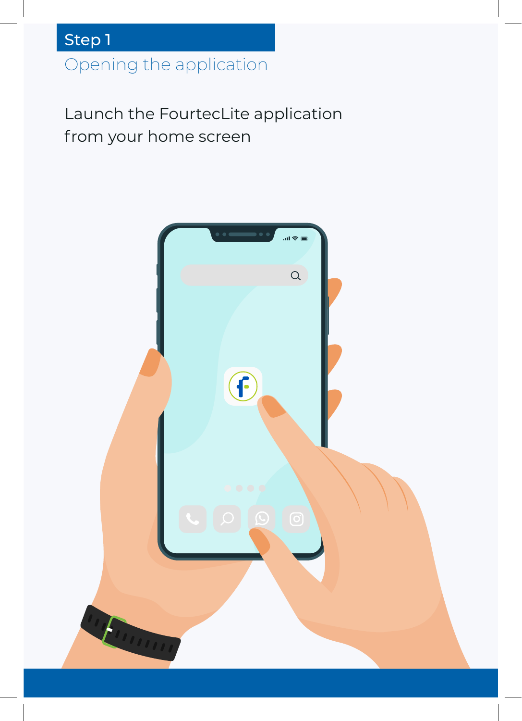Opening the application

Launch the FourtecLite application from your home screen

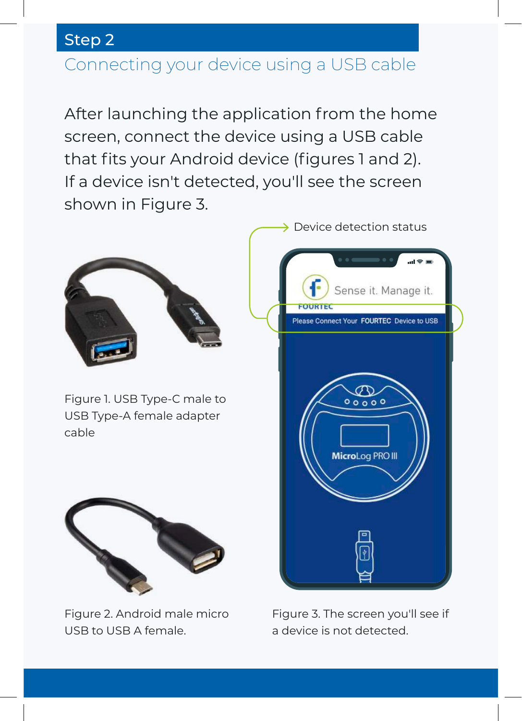## Connecting your device using a USB cable

After launching the application from the home screen, connect the device using a USB cable that fits your Android device (figures 1 and 2). If a device isn't detected, you'll see the screen shown in Figure 3.



Figure 1. USB Type-C male to USB Type-A female adapter cable



Figure 2. Android male micro USB to USB A female.



Figure 3. The screen you'll see if a device is not detected.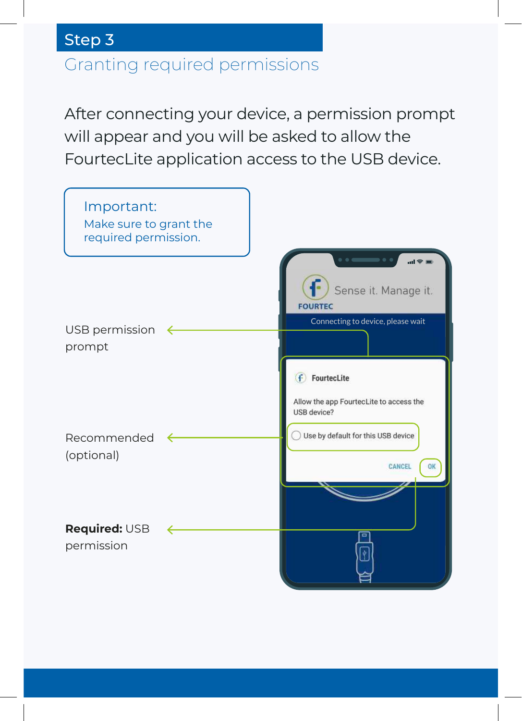# Granting required permissions Step 3

After connecting your device, a permission prompt will appear and you will be asked to allow the FourtecLite application access to the USB device.

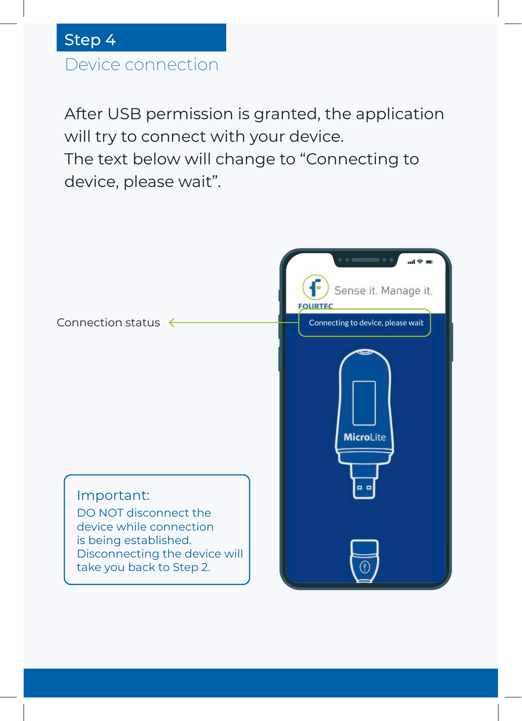# Device connection

After USB permission is granted, the application will try to connect with your device. The text below will change to "Connecting to device, please wait".

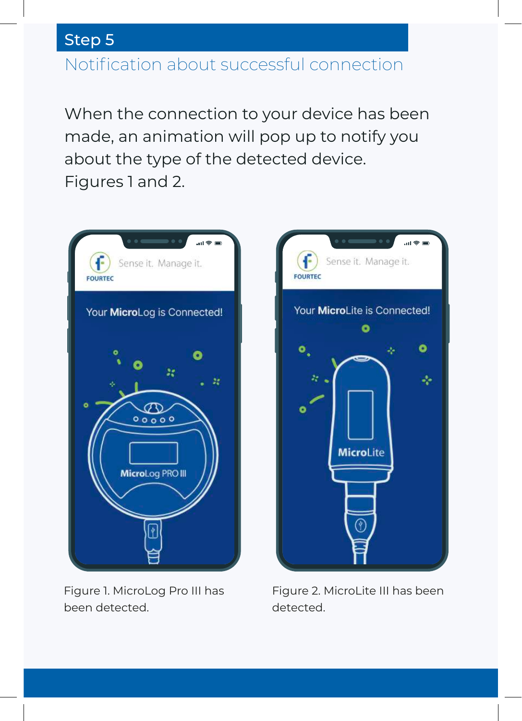#### Notification about successful connection

When the connection to your device has been made, an animation will pop up to notify you about the type of the detected device. Figures 1 and 2.



Figure 1. MicroLog Pro III has been detected.



Figure 2. MicroLite III has been detected.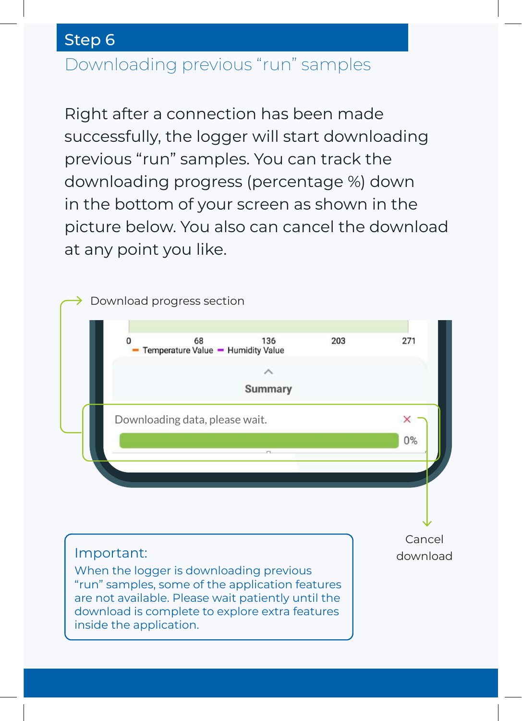## Downloading previous "run" samples

Right after a connection has been made successfully, the logger will start downloading previous "run" samples. You can track the downloading progress (percentage %) down in the bottom of your screen as shown in the picture below. You also can cancel the download at any point you like.

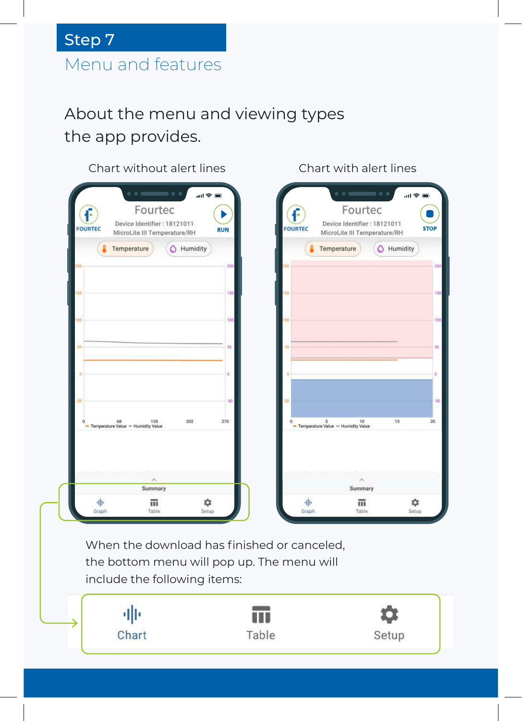# Menu and features Step 7

## About the menu and viewing types the app provides.

#### Chart without alert lines



Chart with alert lines

When the download has finished or canceled, the bottom menu will pop up. The menu will include the following items:

亜 n n Chart Table Setup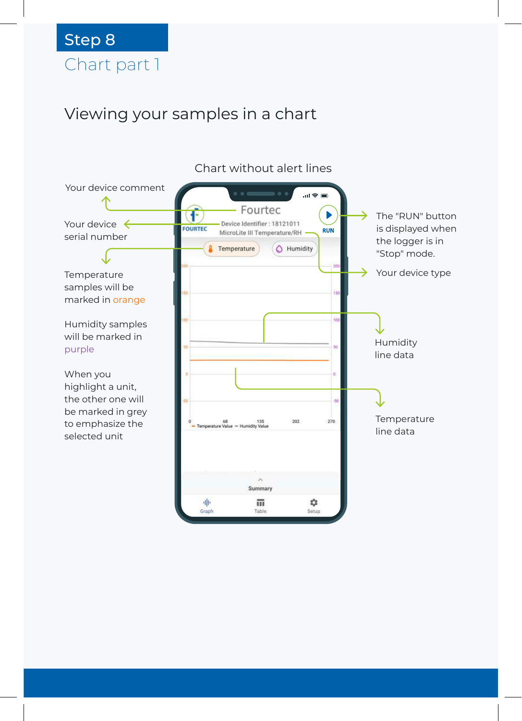# Chart part 1 Step 8

#### Viewing your samples in a chart

Chart without alert lines

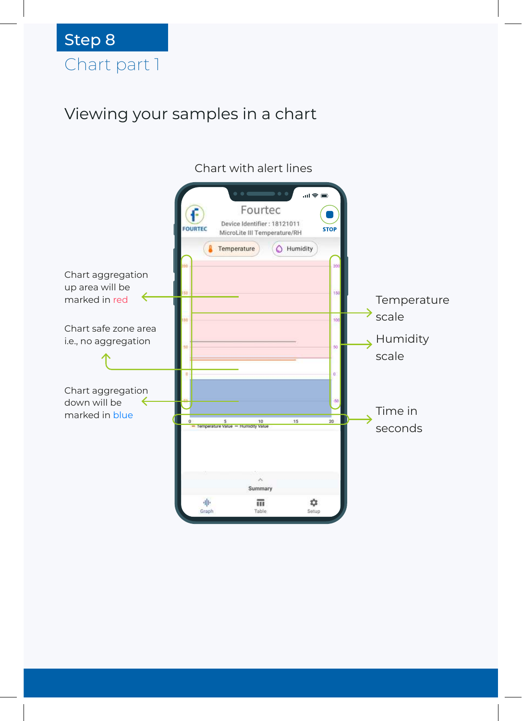#### Viewing your samples in a chart

#### Chart with alert lines

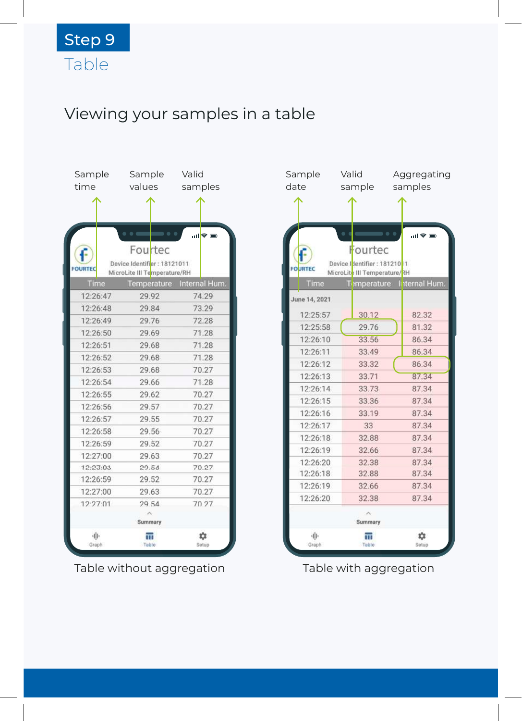# Viewing your samples in a table

| Sample         |          | Sample                        |                     | Valid   |               |
|----------------|----------|-------------------------------|---------------------|---------|---------------|
| time           |          | values                        |                     | samples |               |
|                |          |                               |                     |         |               |
|                |          |                               |                     |         |               |
|                |          |                               |                     |         |               |
|                |          | $\bullet$ $\bullet$ $\bullet$ | $\bullet$ $\bullet$ |         | al® ⊞         |
|                |          | Fourtec                       |                     |         |               |
| <b>FOURTEC</b> |          | Device Identifier: 18121011   |                     |         |               |
|                |          | MicroLite III Temperature/RH  |                     |         |               |
| Time           |          | Temperature                   |                     |         | Internal Hum. |
| 12:26:47       |          | 29.92                         |                     |         | 74.29         |
| 12:26:48       |          | 29.84                         |                     |         | 73.29         |
| 12:26:49       |          | 29.76                         |                     |         | 72.28         |
| 12:26:50       |          | 29.69                         |                     |         | 71.28         |
| 12:26:51       |          | 29.68                         |                     |         | 71.28         |
| 12:26:52       |          | 29.68                         |                     |         | 71.28         |
| 12:26:53       |          | 29.68                         |                     |         | 70.27         |
|                | 12:26:54 |                               | 29.66               |         | 71.28         |
| 12:26:55       |          | 29.62                         |                     |         | 70.27         |
|                | 12:26:56 |                               | 29.57               |         | 70.27         |
| 12:26:57       |          | 29.55                         |                     |         | 70.27         |
| 12:26:58       |          | 29.56                         |                     |         | 70.27         |
| 12:26:59       |          | 29.52                         |                     |         | 70.27         |
| 12:27:00       |          | 29.63                         |                     |         | 70.27         |
| 12:23:03       |          | 29.54                         |                     |         | 70.27         |
| 12:26:59       |          | 29.52                         |                     |         | 70.27         |
| 12:27:00       |          | 29.63                         |                     |         | 70.27         |
| 12.27:01       |          | 29.54                         |                     |         | 70.27         |
|                |          |                               |                     |         |               |
|                |          | Summary                       |                     |         |               |
| 业<br>Graph     |          | π<br>Table                    |                     |         | な<br>Setup    |
|                |          |                               |                     |         |               |

Table without aggregation Table with aggregation

| Sample         | Valid                        | Aggregating               |
|----------------|------------------------------|---------------------------|
| date           | sample                       | samples                   |
|                |                              |                           |
|                |                              | al † ⊟                    |
|                | Fourtec                      |                           |
| <b>FOURTEC</b> | Device Identifier: 18121011  |                           |
|                | MicroLite III Temperature/RH |                           |
| Time           |                              | Temperature liternal Hum. |
| June 14, 2021  |                              |                           |
| 12:25:57       | 30.12                        | 82.32                     |
| 12:25:58       | 29.76                        | 81.32                     |
| 12:26:10       | 33.56                        | 86.34                     |
| 12:26:11       | 33.49                        | 86.34                     |
| 12:26:12       | 33.32                        | 86.34                     |
| 12:26:13       | 33.71                        | 87.34                     |
| 12:26:14       | 33.73                        | 87.34                     |
| 12:26:15       | 33.36                        | 87.34                     |
| 12:26:16       | 33.19                        | 87.34                     |
| 12:26:17       | 33                           | 87.34                     |
| 12:26:18       | 32.88                        | 87.34                     |
| 12:26:19       | 32.66                        | 87.34                     |
| 12:26:20       | 32.38                        | 87.34                     |
| 12:26:18       | 32.88                        | 87.34                     |
| 12:26:19       | 32.66                        | 87.34                     |
| 12:26:20       | 32.38                        | 87.34                     |
|                | Summary                      |                           |
| 业<br>Graph     | π<br>Table                   | ¤<br>Setup                |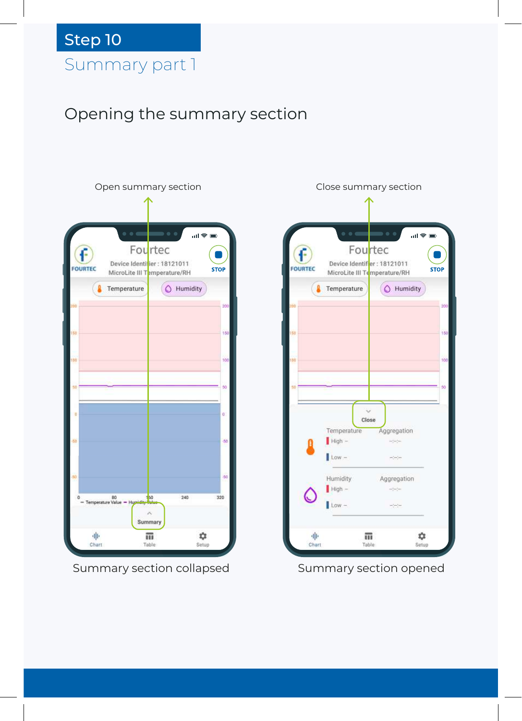# Summary part 1 Step 10

## Opening the summary section



|                |                                                             | Close summary section                                                                                                                                                                                                                                                                                                                                                                        |             |
|----------------|-------------------------------------------------------------|----------------------------------------------------------------------------------------------------------------------------------------------------------------------------------------------------------------------------------------------------------------------------------------------------------------------------------------------------------------------------------------------|-------------|
|                |                                                             |                                                                                                                                                                                                                                                                                                                                                                                              |             |
|                |                                                             |                                                                                                                                                                                                                                                                                                                                                                                              |             |
|                |                                                             | $\mathfrak{m} \otimes \mathfrak{m}$                                                                                                                                                                                                                                                                                                                                                          |             |
|                | Fourtec                                                     |                                                                                                                                                                                                                                                                                                                                                                                              |             |
| <b>FOURTEC</b> | Device Identifier: 18121011<br>MicroLite III Temperature/RH |                                                                                                                                                                                                                                                                                                                                                                                              | <b>STOP</b> |
| л              | Temperature                                                 | $\circ$<br>Humidity                                                                                                                                                                                                                                                                                                                                                                          |             |
| 200            |                                                             |                                                                                                                                                                                                                                                                                                                                                                                              | 200         |
|                |                                                             |                                                                                                                                                                                                                                                                                                                                                                                              |             |
| 150            |                                                             |                                                                                                                                                                                                                                                                                                                                                                                              | 150         |
|                |                                                             |                                                                                                                                                                                                                                                                                                                                                                                              |             |
| 100            |                                                             |                                                                                                                                                                                                                                                                                                                                                                                              | 100         |
|                |                                                             |                                                                                                                                                                                                                                                                                                                                                                                              |             |
| 50             |                                                             |                                                                                                                                                                                                                                                                                                                                                                                              | 50          |
|                |                                                             |                                                                                                                                                                                                                                                                                                                                                                                              |             |
|                | Close                                                       |                                                                                                                                                                                                                                                                                                                                                                                              |             |
|                | Temperature Aggregation                                     |                                                                                                                                                                                                                                                                                                                                                                                              |             |
|                | High -                                                      | $\frac{1}{2} \left( \frac{1}{2} \right) \left( \frac{1}{2} \right)$                                                                                                                                                                                                                                                                                                                          |             |
|                | $low$ –                                                     | et enjer                                                                                                                                                                                                                                                                                                                                                                                     |             |
|                | Humidity                                                    | Aggregation                                                                                                                                                                                                                                                                                                                                                                                  |             |
|                | $High -$                                                    | $\frac{1}{2} \frac{1}{2} \frac{1}{2} \frac{1}{2} \frac{1}{2} \frac{1}{2} \frac{1}{2} \frac{1}{2} \frac{1}{2} \frac{1}{2} \frac{1}{2} \frac{1}{2} \frac{1}{2} \frac{1}{2} \frac{1}{2} \frac{1}{2} \frac{1}{2} \frac{1}{2} \frac{1}{2} \frac{1}{2} \frac{1}{2} \frac{1}{2} \frac{1}{2} \frac{1}{2} \frac{1}{2} \frac{1}{2} \frac{1}{2} \frac{1}{2} \frac{1}{2} \frac{1}{2} \frac{1}{2} \frac{$ |             |
|                | $Low -$                                                     | etern                                                                                                                                                                                                                                                                                                                                                                                        |             |
| 业              |                                                             | xx.                                                                                                                                                                                                                                                                                                                                                                                          |             |
| Chart          | m<br>Table                                                  | Setup                                                                                                                                                                                                                                                                                                                                                                                        |             |

Summary section collapsed Summary section opened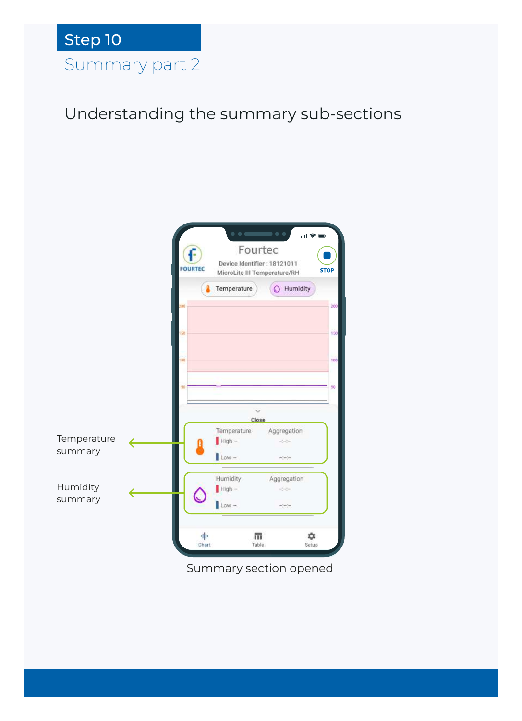Understanding the summary sub-sections



Summary section opened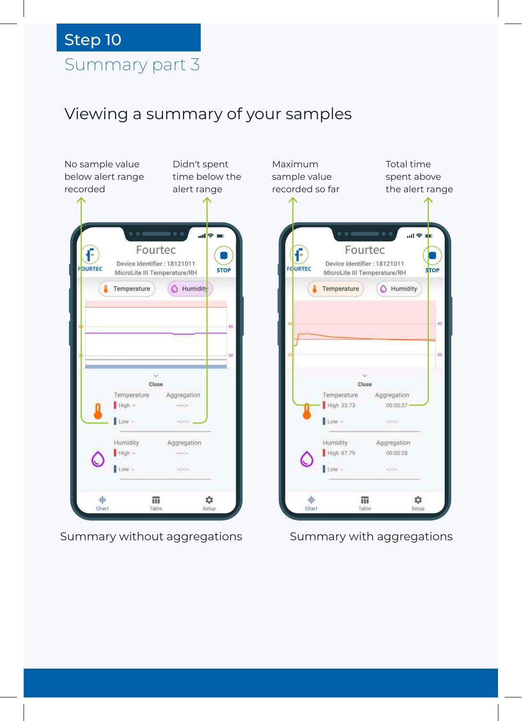#### Summary part 3

#### Viewing a summary of your samples



Summary without aggregations Summary with aggregations

而

Table

Close

Total time spent above the alert range

 $\overline{18}$ 

 $\bigcirc$  Humidity

Aggregation

Aggregation

00:00:28

٠

Setup

 $00:00:37$ 

٦

**STOP** 

ăò

20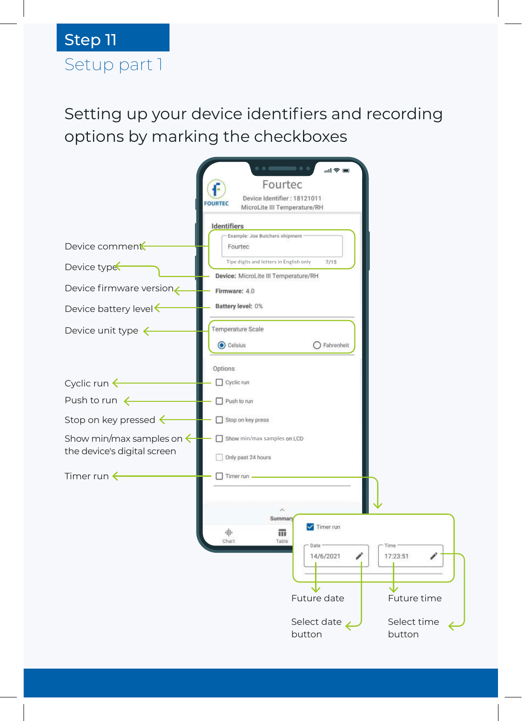# Setup part 1 Step 11

Setting up your device identifiers and recording options by marking the checkboxes

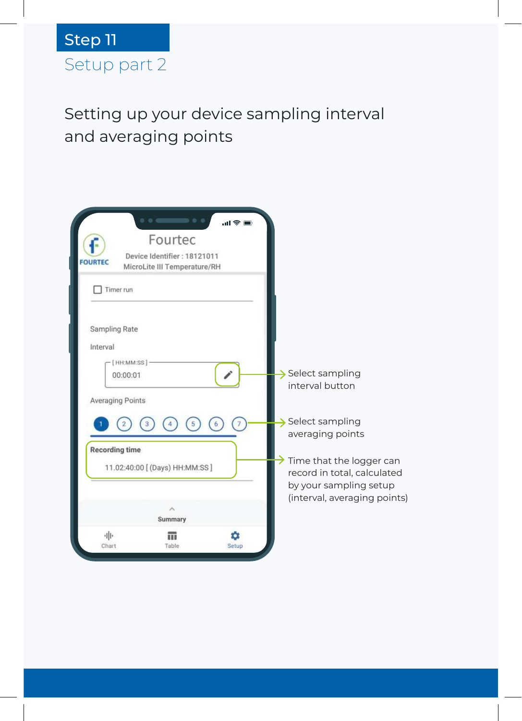

Setting up your device sampling interval and averaging points

| <b>FOURTEC</b>                                                | $\bullet$ $\bullet$ $\bullet$<br>.<br>Fourtec<br>Device Identifier: 18121011<br>MicroLite III Temperature/RH | .⊪ © III. |                                                                                                                            |
|---------------------------------------------------------------|--------------------------------------------------------------------------------------------------------------|-----------|----------------------------------------------------------------------------------------------------------------------------|
| Timer run<br>Sampling Rate                                    |                                                                                                              |           |                                                                                                                            |
| Interval<br>[HH:MM:SS]<br>00:00:01<br><b>Averaging Points</b> |                                                                                                              |           | $\rightarrow$ Select sampling<br>interval button                                                                           |
| <b>Recording time</b>                                         | 11.02:40:00 [ (Days) HH:MM:SS ]                                                                              |           | $\rightarrow$ Select sampling<br>averaging points<br>$\rightarrow$ Time that the logger can<br>record in total, calculated |
| 业                                                             | Summary                                                                                                      |           | by your sampling setup<br>(interval, averaging points)                                                                     |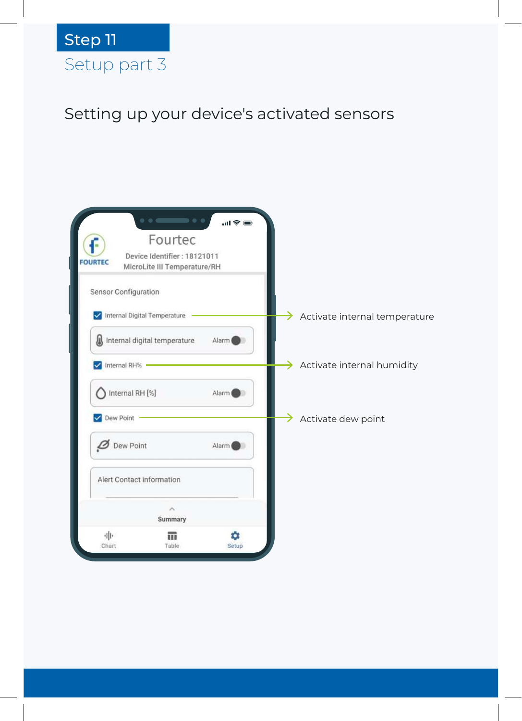# Setup part 3 Step 11

# Setting up your device's activated sensors

| $\bullet$ $\bullet$ $\bullet$<br>.<br>$m \approx m$<br>Fourtec<br>Device Identifier: 18121011<br><b>FOURTEC</b><br>MicroLite III Temperature/RH |                                    |
|-------------------------------------------------------------------------------------------------------------------------------------------------|------------------------------------|
| Sensor Configuration                                                                                                                            |                                    |
| Internal Digital Temperature                                                                                                                    | →<br>Activate internal temperature |
| Л<br>Internal digital temperature<br>Alarm (                                                                                                    |                                    |
| Internal RH%                                                                                                                                    | Activate internal humidity<br>→    |
| Internal RH [%]<br>Alarm                                                                                                                        |                                    |
| Dew Point                                                                                                                                       | Activate dew point                 |
| Dew Point<br>Alarm (                                                                                                                            |                                    |
| Alert Contact information                                                                                                                       |                                    |
| ⋋<br>Summary                                                                                                                                    |                                    |
| 业<br>Chart<br>Table<br>Setup                                                                                                                    |                                    |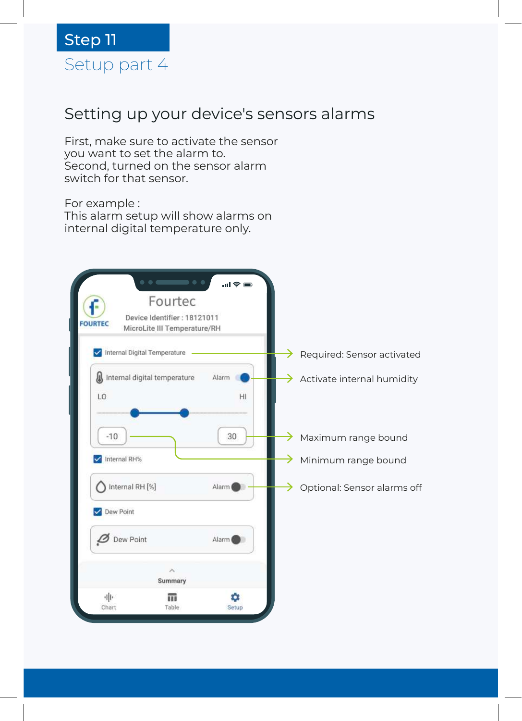

#### Setting up your device's sensors alarms

First, make sure to activate the sensor you want to set the alarm to. Second, turned on the sensor alarm switch for that sensor.

For example : This alarm setup will show alarms on internal digital temperature only.

| $\bullet$ $\bullet$ $\bullet$<br>.<br>Fourtec<br>Е                            | $m \approx m$ |                                          |
|-------------------------------------------------------------------------------|---------------|------------------------------------------|
| Device Identifier: 18121011<br><b>FOURTEC</b><br>MicroLite III Temperature/RH |               |                                          |
| Internal Digital Temperature                                                  |               | Required: Sensor activated               |
| Internal digital temperature<br>LO                                            | Alarm<br>HI   | $\rightarrow$ Activate internal humidity |
| $-10$                                                                         | 30            | Maximum range bound                      |
| Internal RH%                                                                  |               | →<br>Minimum range bound                 |
| Internal RH [%]                                                               | Alarm (       | →<br>Optional: Sensor alarms off         |
| Dew Point                                                                     |               |                                          |
| Dew Point                                                                     | Alarm         |                                          |
| ⋋<br>Summary                                                                  |               |                                          |
| 业<br>m<br>Chart<br>Table                                                      | ά<br>Setup    |                                          |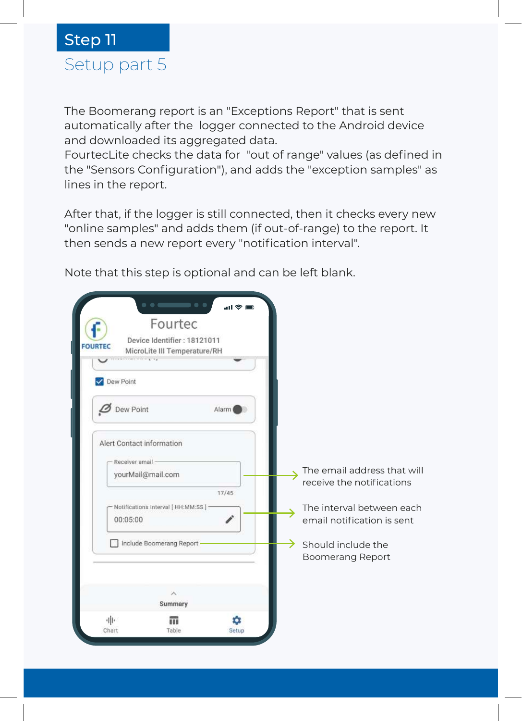

The Boomerang report is an "Exceptions Report" that is sent automatically after the logger connected to the Android device and downloaded its aggregated data.

FourtecLite checks the data for "out of range" values (as defined in the "Sensors Configuration"), and adds the "exception samples" as lines in the report.

After that, if the logger is still connected, then it checks every new "online samples" and adds them (if out-of-range) to the report. It then sends a new report every "notification interval".

Note that this step is optional and can be left blank.

| $\bullet$ $\bullet$ $\bullet$<br>.<br>$m \approx 1$<br>Fourtec<br>Device Identifier: 18121011<br><b>FOURTEC</b><br>MicroLite III Temperature/RH<br>$k \rightarrow k$<br><b>CONTRACTOR</b><br>Dew Point |                                                                                                                                     |
|--------------------------------------------------------------------------------------------------------------------------------------------------------------------------------------------------------|-------------------------------------------------------------------------------------------------------------------------------------|
| <b>Dew Point</b><br>Alarm (<br>Alert Contact information<br>Receiver email<br>yourMail@mail.com                                                                                                        | The email address that will                                                                                                         |
| 17/45<br>Notifications Interval [ HH:MM:SS ] -<br>00:05:00<br>Include Boomerang Report-                                                                                                                | receive the notifications<br>The interval between each<br>email notification is sent<br>→<br>Should include the<br>Boomerang Report |
| 入<br>Summary<br>业<br>α<br>Chart<br>Table<br>Setup                                                                                                                                                      |                                                                                                                                     |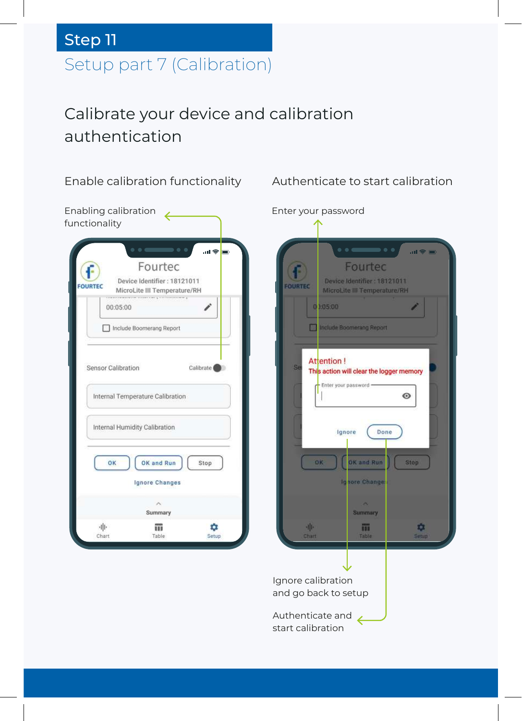# Setup part 7 (Calibration) Step 11

## Calibrate your device and calibration authentication



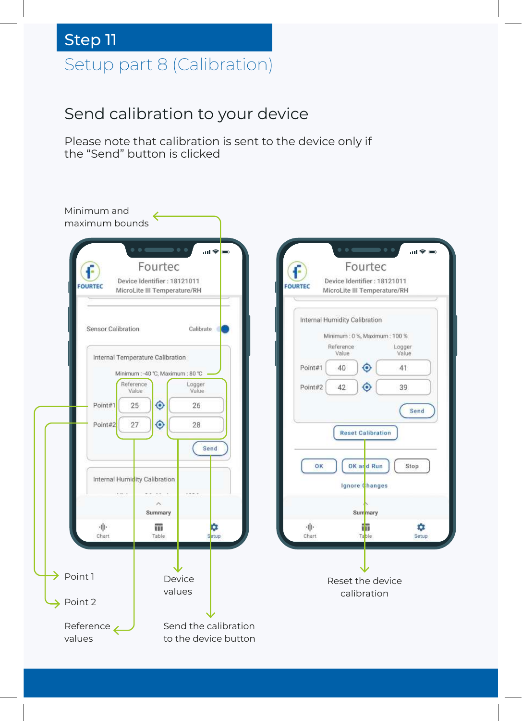# Setup part 8 (Calibration) Step 11

#### Send calibration to your device

Please note that calibration is sent to the device only if the "Send" button is clicked

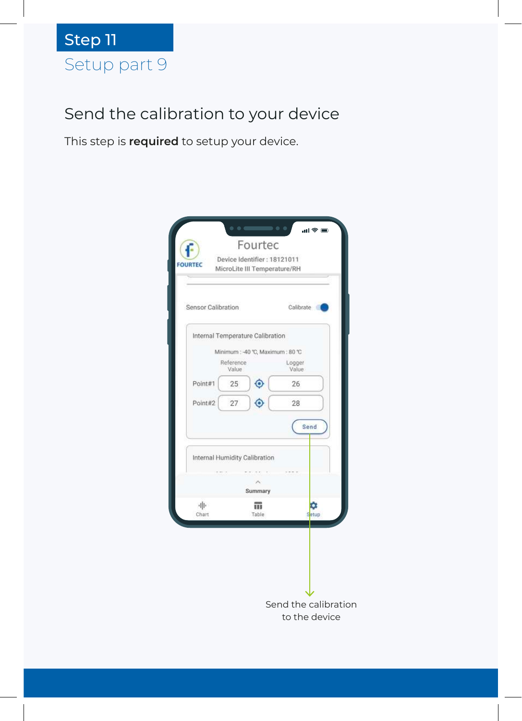#### Send the calibration to your device

This step is **required** to setup your device.